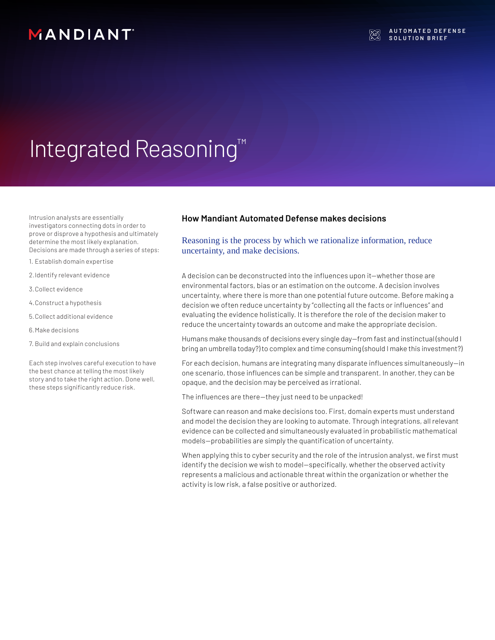## MANDIANT

# Integrated Reasoning™

Intrusion analysts are essentially investigators connecting dots in order to prove or disprove a hypothesis and ultimately determine the most likely explanation. Decisions are made through a series of steps:

- 1. Establish domain expertise
- 2.Identify relevant evidence
- 3.Collect evidence
- 4.Construct a hypothesis
- 5.Collect additional evidence
- 6.Make decisions
- 7. Build and explain conclusions

Each step involves careful execution to have the best chance at telling the most likely story and to take the right action. Done well, these steps significantly reduce risk.

### **How Mandiant Automated Defense makes decisions**

Reasoning is the process by which we rationalize information, reduce uncertainty, and make decisions.

A decision can be deconstructed into the influences upon it—whether those are environmental factors, bias or an estimation on the outcome. A decision involves uncertainty, where there is more than one potential future outcome. Before making a decision we often reduce uncertainty by "collecting all the facts or influences" and evaluating the evidence holistically. It is therefore the role of the decision maker to reduce the uncertainty towards an outcome and make the appropriate decision.

Humans make thousands of decisions every single day—from fast and instinctual (should I bring an umbrella today?) to complex and time consuming (should I make this investment?)

For each decision, humans are integrating many disparate influences simultaneously—in one scenario, those influences can be simple and transparent. In another, they can be opaque, and the decision may be perceived as irrational.

The influences are there—they just need to be unpacked!

Software can reason and make decisions too. First, domain experts must understand and model the decision they are looking to automate. Through integrations, all relevant evidence can be collected and simultaneously evaluated in probabilistic mathematical models—probabilities are simply the quantification of uncertainty.

When applying this to cyber security and the role of the intrusion analyst, we first must identify the decision we wish to model—specifically, whether the observed activity represents a malicious and actionable threat within the organization or whether the activity is low risk, a false positive or authorized.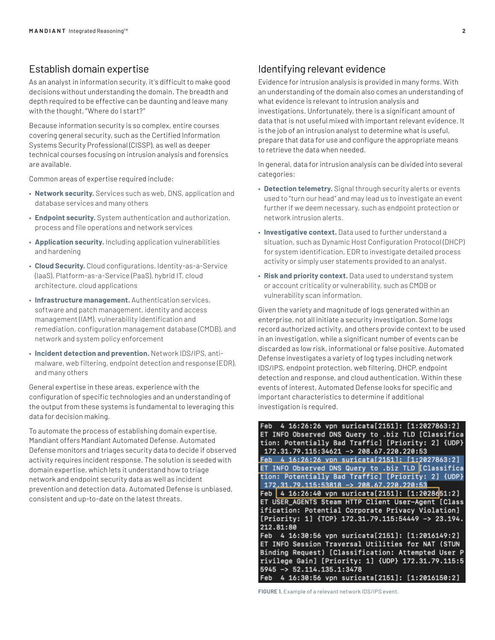## Establish domain expertise

As an analyst in information security, it's difficult to make good decisions without understanding the domain. The breadth and depth required to be effective can be daunting and leave many with the thought, "Where do I start?"

Because information security is so complex, entire courses covering general security, such as the Certified Information Systems Security Professional (CISSP), as well as deeper technical courses focusing on intrusion analysis and forensics are available.

Common areas of expertise required include:

- **Network security.** Services such as web, DNS, application and database services and many others
- **Endpoint security.** System authentication and authorization, process and file operations and network services
- **Application security.** Including application vulnerabilities and hardening
- **Cloud Security.** Cloud configurations, Identity-as-a-Service (IaaS), Platform-as-a-Service (PaaS), hybrid IT, cloud architecture, cloud applications
- **Infrastructure management.** Authentication services, software and patch management, identity and access management (IAM), vulnerability identification and remediation, configuration management database (CMDB), and network and system policy enforcement
- **Incident detection and prevention.** Network IDS/IPS, antimalware, web filtering, endpoint detection and response (EDR), and many others

General expertise in these areas, experience with the configuration of specific technologies and an understanding of the output from these systems is fundamental to leveraging this data for decision making.

To automate the process of establishing domain expertise, Mandiant offers Mandiant Automated Defense. Automated Defense monitors and triages security data to decide if observed activity requires incident response. The solution is seeded with domain expertise, which lets it understand how to triage network and endpoint security data as well as incident prevention and detection data. Automated Defense is unbiased, consistent and up-to-date on the latest threats.

## Identifying relevant evidence

Evidence for intrusion analysis is provided in many forms. With an understanding of the domain also comes an understanding of what evidence is relevant to intrusion analysis and investigations. Unfortunately, there is a significant amount of data that is not useful mixed with important relevant evidence. It is the job of an intrusion analyst to determine what is useful, prepare that data for use and configure the appropriate means to retrieve the data when needed.

In general, data for intrusion analysis can be divided into several categories:

- **Detection telemetry.** Signal through security alerts or events used to "turn our head" and may lead us to investigate an event further if we deem necessary, such as endpoint protection or network intrusion alerts.
- **Investigative context.** Data used to further understand a situation, such as Dynamic Host Configuration Protocol (DHCP) for system identification, EDR to investigate detailed process activity or simply user statements provided to an analyst.
- **Risk and priority context.** Data used to understand system or account criticality or vulnerability, such as CMDB or vulnerability scan information.

Given the variety and magnitude of logs generated within an enterprise, not all initiate a security investigation. Some logs record authorized activity, and others provide context to be used in an investigation, while a significant number of events can be discarded as low risk, informational or false positive. Automated Defense investigates a variety of log types including network IDS/IPS, endpoint protection, web filtering, DHCP, endpoint detection and response, and cloud authentication. Within these events of interest, Automated Defense looks for specific and important characteristics to determine if additional investigation is required.

```
Feb 4 16:26:26 vpn suricata[2151]: [1:2027863:2]
ET INFO Observed DNS Query to .biz TLD [Classifica
tion: Potentially Bad Traffic] [Priority: 2] {UDP}
 172.31.79.115:34621 -> 208.67.220.220:53Feb 4 16:26:26 vpn suricata[2151]: [1:2027863:2]
ET INFO Observed DNS Query to .biz TLD Classifica
tion: Potentially Bad Traffic] [Priority: 2] {UDP}
172.31.79.115:53818 -> 208.67.220.220:53
Feb 4 16:26:40 vpn suricata[2151]: [1:2028651:2]
ET USER_AGENTS Steam HTTP Client User-Agent [Class
ification: Potential Corporate Privacy Violation]
[Priority: 1] {TCP} 172.31.79.115:54449 -> 23.194.
212.81:80
Feb 4 16:30:56 vpn suricata[2151]: [1:2016149:2]
ET INFO Session Traversal Utilities for NAT (STUN
Binding Request) [Classification: Attempted User P
rivilege Gain] [Priority: 1] {UDP} 172.31.79.115:5
5945 -> 52.114.135.1:3478Feb 4 16:30:56 vpn suricata[2151]: [1:2016150:2]
```
**FIGURE 1.** Example of a relevant network IDS/IPS event.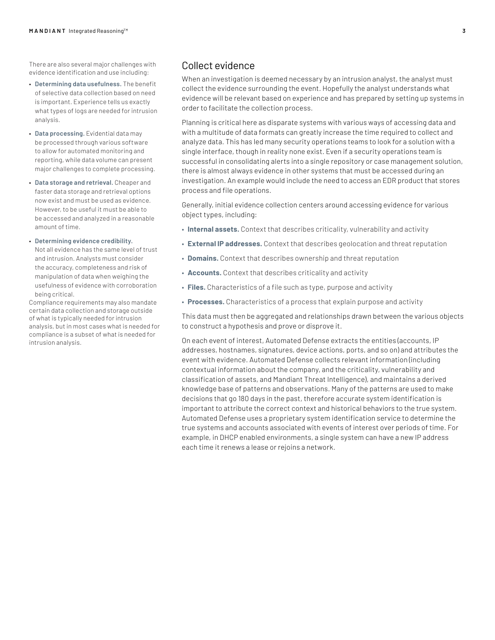There are also several major challenges with evidence identification and use including:

- **Determining data usefulness.** The benefit of selective data collection based on need is important. Experience tells us exactly what types of logs are needed for intrusion analysis.
- **Data processing.** Evidential data may be processed through various software to allow for automated monitoring and reporting, while data volume can present major challenges to complete processing.
- **Data storage and retrieval.** Cheaper and faster data storage and retrieval options now exist and must be used as evidence. However, to be useful it must be able to be accessed and analyzed in a reasonable amount of time.
- **Determining evidence credibility.** Not all evidence has the same level of trust and intrusion. Analysts must consider the accuracy, completeness and risk of manipulation of data when weighing the usefulness of evidence with corroboration being critical.

Compliance requirements may also mandate certain data collection and storage outside of what is typically needed for intrusion analysis, but in most cases what is needed for compliance is a subset of what is needed for intrusion analysis.

## Collect evidence

When an investigation is deemed necessary by an intrusion analyst, the analyst must collect the evidence surrounding the event. Hopefully the analyst understands what evidence will be relevant based on experience and has prepared by setting up systems in order to facilitate the collection process.

Planning is critical here as disparate systems with various ways of accessing data and with a multitude of data formats can greatly increase the time required to collect and analyze data. This has led many security operations teams to look for a solution with a single interface, though in reality none exist. Even if a security operations team is successful in consolidating alerts into a single repository or case management solution, there is almost always evidence in other systems that must be accessed during an investigation. An example would include the need to access an EDR product that stores process and file operations.

Generally, initial evidence collection centers around accessing evidence for various object types, including:

- **Internal assets.** Context that describes criticality, vulnerability and activity
- **External IP addresses.** Context that describes geolocation and threat reputation
- **Domains.** Context that describes ownership and threat reputation
- **Accounts.** Context that describes criticality and activity
- **Files.** Characteristics of a file such as type, purpose and activity
- **Processes.** Characteristics of a process that explain purpose and activity

This data must then be aggregated and relationships drawn between the various objects to construct a hypothesis and prove or disprove it.

On each event of interest, Automated Defense extracts the entities (accounts, IP addresses, hostnames, signatures, device actions, ports, and so on) and attributes the event with evidence. Automated Defense collects relevant information (including contextual information about the company, and the criticality, vulnerability and classification of assets, and Mandiant Threat Intelligence), and maintains a derived knowledge base of patterns and observations. Many of the patterns are used to make decisions that go 180 days in the past, therefore accurate system identification is important to attribute the correct context and historical behaviors to the true system. Automated Defense uses a proprietary system identification service to determine the true systems and accounts associated with events of interest over periods of time. For example, in DHCP enabled environments, a single system can have a new IP address each time it renews a lease or rejoins a network.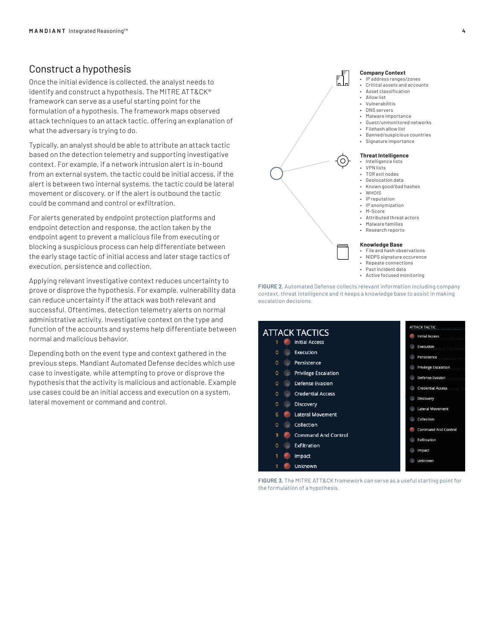## Construct a hypothesis

Once the initial evidence is collected, the analyst needs to identify and construct a hypothesis. The MITRE ATT&CK® framework can serve as a useful starting point for the formulation of a hypothesis. The framework maps observed attack techniques to an attack tactic, offering an explanation of what the adversary is trying to do.

Typically, an analyst should be able to attribute an attack tactic based on the detection telemetry and supporting investigative context. For example, if a network intrusion alert is in-bound from an external system, the tactic could be initial access, if the alert is between two internal systems, the tactic could be lateral movement or discovery, or if the alert is outbound the tactic could be command and control or exfiltration.

For alerts generated by endpoint protection platforms and endpoint detection and response, the action taken by the endpoint agent to prevent a malicious file from executing or blocking a suspicious process can help differentiate between the early stage tactic of initial access and later stage tactics of execution, persistence and collection.

Applying relevant investigative context reduces uncertainty to prove or disprove the hypothesis. For example, vulnerability data can reduce uncertainty if the attack was both relevant and successful. Oftentimes, detection telemetry alerts on normal administrative activity. Investigative context on the type and function of the accounts and systems help differentiate between normal and malicious behavior.

Depending both on the event type and context gathered in the previous steps, Mandiant Automated Defense decides which use case to investigate, while attempting to prove or disprove the hypothesis that the activity is malicious and actionable. Example use cases could be an initial access and execution on a system, lateral movement or command and control.





**FIGURE 3.** The MITRE ATT&CK framework can serve as a useful starting point for the formulation of a hypothesis.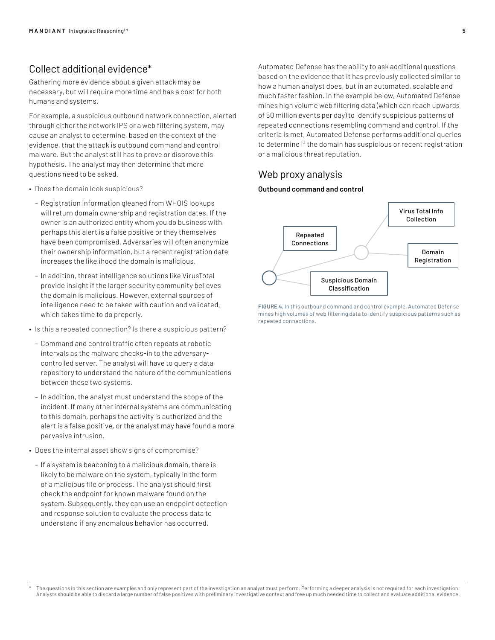## Collect additional evidence\*

Gathering more evidence about a given attack may be necessary, but will require more time and has a cost for both humans and systems.

For example, a suspicious outbound network connection, alerted through either the network IPS or a web filtering system, may cause an analyst to determine, based on the context of the evidence, that the attack is outbound command and control malware. But the analyst still has to prove or disprove this hypothesis. The analyst may then determine that more questions need to be asked.

- Does the domain look suspicious?
	- Registration information gleaned from WHOIS lookups will return domain ownership and registration dates. If the owner is an authorized entity whom you do business with, perhaps this alert is a false positive or they themselves have been compromised. Adversaries will often anonymize their ownership information, but a recent registration date increases the likelihood the domain is malicious.
	- In addition, threat intelligence solutions like VirusTotal provide insight if the larger security community believes the domain is malicious. However, external sources of intelligence need to be taken with caution and validated, which takes time to do properly.
- Is this a repeated connection? Is there a suspicious pattern?
	- Command and control traffic often repeats at robotic intervals as the malware checks-in to the adversarycontrolled server. The analyst will have to query a data repository to understand the nature of the communications between these two systems.
	- In addition, the analyst must understand the scope of the incident. If many other internal systems are communicating to this domain, perhaps the activity is authorized and the alert is a false positive, or the analyst may have found a more pervasive intrusion.
- Does the internal asset show signs of compromise?
	- If a system is beaconing to a malicious domain, there is likely to be malware on the system, typically in the form of a malicious file or process. The analyst should first check the endpoint for known malware found on the system. Subsequently, they can use an endpoint detection and response solution to evaluate the process data to understand if any anomalous behavior has occurred.

Automated Defense has the ability to ask additional questions based on the evidence that it has previously collected similar to how a human analyst does, but in an automated, scalable and much faster fashion. In the example below, Automated Defense mines high volume web filtering data (which can reach upwards of 50 million events per day) to identify suspicious patterns of repeated connections resembling command and control. If the criteria is met, Automated Defense performs additional queries to determine if the domain has suspicious or recent registration or a malicious threat reputation.

## Web proxy analysis

#### **Outbound command and control**



**FIGURE 4.** In this outbound command and control example, Automated Defense mines high volumes of web filtering data to identify suspicious patterns such as repeated connections.

The questions in this section are examples and only represent part of the investigation an analyst must perform. Performing a deeper analysis is not required for each investigation. Analysts should be able to discard a large number of false positives with preliminary investigative context and free up much needed time to collect and evaluate additional evidence.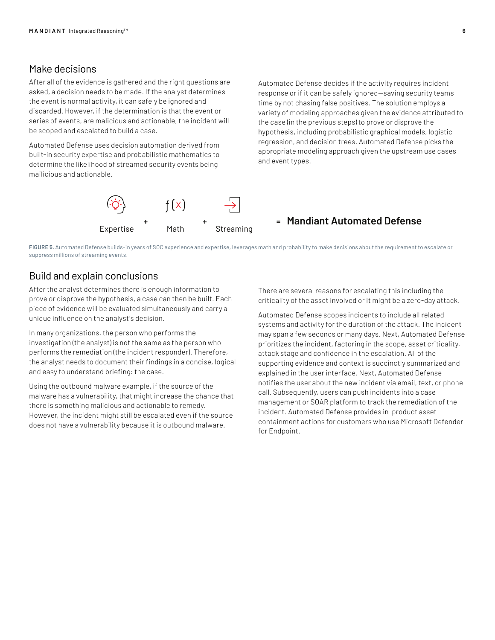## Make decisions

After all of the evidence is gathered and the right questions are asked, a decision needs to be made. If the analyst determines the event is normal activity, it can safely be ignored and discarded. However, if the determination is that the event or series of events, are malicious and actionable, the incident will be scoped and escalated to build a case.

Automated Defense uses decision automation derived from built-in security expertise and probabilistic mathematics to determine the likelihood of streamed security events being mailicious and actionable.

Automated Defense decides if the activity requires incident response or if it can be safely ignored—saving security teams time by not chasing false positives. The solution employs a variety of modeling approaches given the evidence attributed to the case (in the previous steps) to prove or disprove the hypothesis, including probabilistic graphical models, logistic regression, and decision trees. Automated Defense picks the appropriate modeling approach given the upstream use cases and event types.



## **Mandiant Automated Defense**

**FIGURE 5.** Automated Defense builds-in years of SOC experience and expertise, leverages math and probability to make decisions about the requirement to escalate or suppress millions of streaming events.

## Build and explain conclusions

After the analyst determines there is enough information to prove or disprove the hypothesis, a case can then be built. Each piece of evidence will be evaluated simultaneously and carry a unique influence on the analyst's decision.

In many organizations, the person who performs the investigation (the analyst) is not the same as the person who performs the remediation (the incident responder). Therefore, the analyst needs to document their findings in a concise, logical and easy to understand briefing: the case.

Using the outbound malware example, if the source of the malware has a vulnerability, that might increase the chance that there is something malicious and actionable to remedy. However, the incident might still be escalated even if the source does not have a vulnerability because it is outbound malware.

There are several reasons for escalating this including the criticality of the asset involved or it might be a zero-day attack.

Automated Defense scopes incidents to include all related systems and activity for the duration of the attack. The incident may span a few seconds or many days. Next, Automated Defense prioritizes the incident, factoring in the scope, asset criticality, attack stage and confidence in the escalation. All of the supporting evidence and context is succinctly summarized and explained in the user interface. Next, Automated Defense notifies the user about the new incident via email, text, or phone call. Subsequently, users can push incidents into a case management or SOAR platform to track the remediation of the incident. Automated Defense provides in-product asset containment actions for customers who use Microsoft Defender for Endpoint.